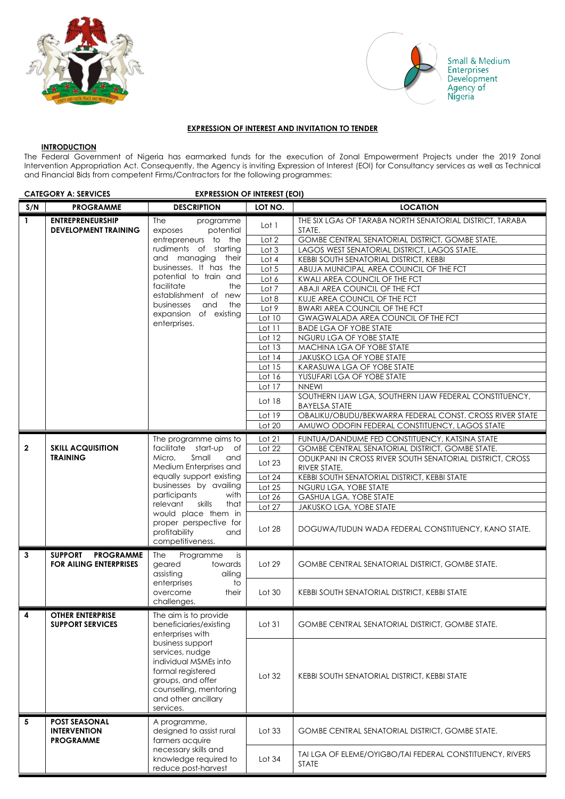



Small & Medium Sinal & Medit<br>Enterprises<br>Development<br>Agency of<br>Nigeria

## **EXPRESSION OF INTEREST AND INVITATION TO TENDER**

#### **INTRODUCTION**

The Federal Government of Nigeria has earmarked funds for the execution of Zonal Empowerment Projects under the 2019 Zonal Intervention Appropriation Act. Consequently, the Agency is inviting Expression of Interest (EOI) for Consultancy services as well as Technical and Financial Bids from competent Firms/Contractors for the following programmes:

|              | <b>CATEGORY A: SERVICES</b><br><b>EXPRESSION OF INTEREST (EOI)</b>                                                             |                                                                                                                                                                      |                                                                    |                                                                                               |
|--------------|--------------------------------------------------------------------------------------------------------------------------------|----------------------------------------------------------------------------------------------------------------------------------------------------------------------|--------------------------------------------------------------------|-----------------------------------------------------------------------------------------------|
| S/N          | <b>PROGRAMME</b>                                                                                                               | <b>DESCRIPTION</b>                                                                                                                                                   | LOT NO.                                                            | <b>LOCATION</b>                                                                               |
| $\mathbf{1}$ | <b>ENTREPRENEURSHIP</b><br>The<br>programme<br><b>DEVELOPMENT TRAINING</b><br>potential<br>exposes                             | Lot 1                                                                                                                                                                | THE SIX LGAS OF TARABA NORTH SENATORIAL DISTRICT, TARABA<br>STATE. |                                                                                               |
|              |                                                                                                                                | entrepreneurs to the                                                                                                                                                 | Lot 2                                                              | GOMBE CENTRAL SENATORIAL DISTRICT, GOMBE STATE.                                               |
|              |                                                                                                                                | rudiments of starting<br>and managing their                                                                                                                          | Lot 3<br>Lot 4                                                     | LAGOS WEST SENATORIAL DISTRICT, LAGOS STATE.<br><b>KEBBI SOUTH SENATORIAL DISTRICT, KEBBI</b> |
|              |                                                                                                                                | businesses. It has the                                                                                                                                               | Lot 5                                                              | ABUJA MUNICIPAL AREA COUNCIL OF THE FCT                                                       |
|              |                                                                                                                                | potential to train and                                                                                                                                               | Lot 6                                                              | KWALI AREA COUNCIL OF THE FCT                                                                 |
|              |                                                                                                                                | facilitate<br>the                                                                                                                                                    | Lot 7                                                              | ABAJI AREA COUNCIL OF THE FCT                                                                 |
|              |                                                                                                                                | establishment of new                                                                                                                                                 | Lot 8                                                              | KUJE AREA COUNCIL OF THE FCT                                                                  |
|              |                                                                                                                                | businesses<br>and<br>the                                                                                                                                             | Lot 9                                                              | <b>BWARI AREA COUNCIL OF THE FCT</b>                                                          |
|              |                                                                                                                                | expansion of existing                                                                                                                                                | Lot 10                                                             | GWAGWALADA AREA COUNCIL OF THE FCT                                                            |
|              |                                                                                                                                | enterprises.                                                                                                                                                         | Lot 11                                                             | <b>BADE LGA OF YOBE STATE</b>                                                                 |
|              |                                                                                                                                |                                                                                                                                                                      | Lot 12                                                             | NGURU LGA OF YOBE STATE                                                                       |
|              |                                                                                                                                |                                                                                                                                                                      | Lot $13$                                                           | MACHINA LGA OF YOBE STATE                                                                     |
|              |                                                                                                                                |                                                                                                                                                                      | Lot $14$                                                           | JAKUSKO LGA OF YOBE STATE                                                                     |
|              |                                                                                                                                |                                                                                                                                                                      | Lot 15                                                             | KARASUWA LGA OF YOBE STATE                                                                    |
|              |                                                                                                                                |                                                                                                                                                                      | Lot 16<br>Lot 17                                                   | YUSUFARI LGA OF YOBE STATE<br><b>NNEWI</b>                                                    |
|              |                                                                                                                                |                                                                                                                                                                      |                                                                    |                                                                                               |
|              |                                                                                                                                |                                                                                                                                                                      | Lot 18                                                             | SOUTHERN IJAW LGA, SOUTHERN IJAW FEDERAL CONSTITUENCY,<br><b>BAYELSA STATE</b>                |
|              |                                                                                                                                |                                                                                                                                                                      | Lot 19                                                             | OBALIKU/OBUDU/BEKWARRA FEDERAL CONST. CROSS RIVER STATE                                       |
|              |                                                                                                                                |                                                                                                                                                                      | Lot 20                                                             | AMUWO ODOFIN FEDERAL CONSTITUENCY, LAGOS STATE                                                |
|              |                                                                                                                                | The programme aims to                                                                                                                                                | Lot 21                                                             | FUNTUA/DANDUME FED CONSTITUENCY, KATSINA STATE                                                |
| $\mathbf{2}$ | <b>SKILL ACQUISITION</b>                                                                                                       | facilitate start-up of                                                                                                                                               | Lot 22                                                             | GOMBE CENTRAL SENATORIAL DISTRICT, GOMBE STATE.                                               |
|              | <b>TRAINING</b>                                                                                                                | Micro,<br>Small<br>and<br>Medium Enterprises and                                                                                                                     |                                                                    | ODUKPANI IN CROSS RIVER SOUTH SENATORIAL DISTRICT, CROSS                                      |
|              |                                                                                                                                |                                                                                                                                                                      | Lot $23$                                                           | RIVER STATE.                                                                                  |
|              |                                                                                                                                | equally support existing                                                                                                                                             | Lot 24                                                             | KEBBI SOUTH SENATORIAL DISTRICT, KEBBI STATE                                                  |
|              |                                                                                                                                | businesses by availing                                                                                                                                               | Lot 25                                                             | NGURU LGA, YOBE STATE                                                                         |
|              |                                                                                                                                | participants<br>with<br>relevant<br>skills<br>that                                                                                                                   | Lot 26                                                             | GASHUA LGA, YOBE STATE                                                                        |
|              |                                                                                                                                | would place them in                                                                                                                                                  | Lot 27                                                             | JAKUSKO LGA, YOBE STATE                                                                       |
|              |                                                                                                                                | proper perspective for<br>profitability<br>and<br>competitiveness.                                                                                                   | Lot 28                                                             | DOGUWA/TUDUN WADA FEDERAL CONSTITUENCY, KANO STATE.                                           |
| 3            | <b>SUPPORT</b><br><b>PROGRAMME</b><br><b>FOR AILING ENTERPRISES</b>                                                            | The<br>Programme<br>is<br>geared<br>towards<br>assisting<br>ailing                                                                                                   | Lot $29$                                                           | <b>GOMBE CENTRAL SENATORIAL DISTRICT, GOMBE STATE.</b>                                        |
|              |                                                                                                                                | enterprises<br>to<br>overcome<br>their<br>challenges.                                                                                                                | Lot 30                                                             | KEBBI SOUTH SENATORIAL DISTRICT, KEBBI STATE                                                  |
| $\Gamma$ 4   | <b>OTHER ENTERPRISE</b><br><b>SUPPORT SERVICES</b>                                                                             | The aim is to provide<br>beneficiaries/existing<br>enterprises with                                                                                                  | Lot 31                                                             | GOMBE CENTRAL SENATORIAL DISTRICT, GOMBE STATE.                                               |
|              |                                                                                                                                | business support<br>services, nudge<br>individual MSMEs into<br>formal registered<br>groups, and offer<br>counselling, mentoring<br>and other ancillary<br>services. | Lot $32$                                                           | KEBBI SOUTH SENATORIAL DISTRICT, KEBBI STATE                                                  |
| 5            | <b>POST SEASONAL</b><br>A programme,<br><b>INTERVENTION</b><br>designed to assist rural<br>farmers acquire<br><b>PROGRAMME</b> | Lot $33$                                                                                                                                                             | <b>GOMBE CENTRAL SENATORIAL DISTRICT, GOMBE STATE.</b>             |                                                                                               |
|              |                                                                                                                                | necessary skills and<br>knowledge required to<br>reduce post-harvest                                                                                                 | Lot $34$                                                           | TAI LGA OF ELEME/OYIGBO/TAI FEDERAL CONSTITUENCY, RIVERS<br><b>STATE</b>                      |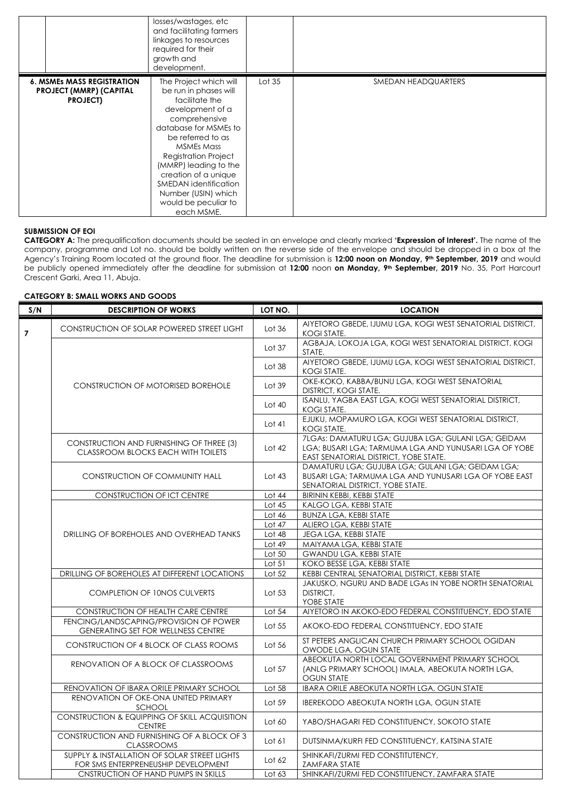|                                                                                        | losses/wastages, etc<br>and facilitating farmers<br>linkages to resources<br>required for their<br>growth and<br>development.                                                                                                                                                                                                                   |          |                     |
|----------------------------------------------------------------------------------------|-------------------------------------------------------------------------------------------------------------------------------------------------------------------------------------------------------------------------------------------------------------------------------------------------------------------------------------------------|----------|---------------------|
| <b>6. MSMES MASS REGISTRATION</b><br><b>PROJECT (MMRP) (CAPITAL</b><br><b>PROJECT)</b> | The Project which will<br>be run in phases will<br>facilitate the<br>development of a<br>comprehensive<br>database for MSMEs to<br>be referred to as<br><b>MSMEs Mass</b><br><b>Registration Project</b><br>(MMRP) leading to the<br>creation of a unique<br>SMEDAN identification<br>Number (USIN) which<br>would be peculiar to<br>each MSME. | Lot $35$ | SMEDAN HEADQUARTERS |

#### **SUBMISSION OF EOI**

**CATEGORY A:** The prequalification documents should be sealed in an envelope and clearly marked **'Expression of Interest'.** The name of the company, programme and Lot no. should be boldly written on the reverse side of the envelope and should be dropped in a box at the Agency's Training Room located at the ground floor. The deadline for submission is **12:00 noon on Monday, 9th September, 2019** and would be publicly opened immediately after the deadline for submission at **12***:***00** noon **on Monday, 9th September, 2019** No. 35, Port Harcourt Crescent Garki, Area 11, Abuja.

## **CATEGORY B: SMALL WORKS AND GOODS**

| S/N            | <b>DESCRIPTION OF WORKS</b>                                                         | LOT NO.  | <b>LOCATION</b>                                                                                                                                       |
|----------------|-------------------------------------------------------------------------------------|----------|-------------------------------------------------------------------------------------------------------------------------------------------------------|
| $\overline{7}$ | <b>CONSTRUCTION OF SOLAR POWERED STREET LIGHT</b>                                   | Lot $36$ | AIYETORO GBEDE, IJUMU LGA, KOGI WEST SENATORIAL DISTRICT,<br><b>KOGI STATE.</b>                                                                       |
|                |                                                                                     | Lot $37$ | AGBAJA, LOKOJA LGA, KOGI WEST SENATORIAL DISTRICT, KOGI<br>STATE.                                                                                     |
|                |                                                                                     | Lot $38$ | AIYETORO GBEDE, IJUMU LGA, KOGI WEST SENATORIAL DISTRICT,<br>KOGI STATE.                                                                              |
|                | <b>CONSTRUCTION OF MOTORISED BOREHOLE</b>                                           | Lot 39   | OKE-KOKO, KABBA/BUNU LGA, KOGI WEST SENATORIAL<br><b>DISTRICT, KOGI STATE.</b>                                                                        |
|                |                                                                                     | Lot $40$ | ISANLU, YAGBA EAST LGA, KOGI WEST SENATORIAL DISTRICT,<br><b>KOGI STATE.</b>                                                                          |
|                |                                                                                     | Lot 41   | EJUKU, MOPAMURO LGA, KOGI WEST SENATORIAL DISTRICT,<br>KOGI STATE.                                                                                    |
|                | CONSTRUCTION AND FURNISHING OF THREE (3)<br>CLASSROOM BLOCKS EACH WITH TOILETS      | Lot $42$ | 7LGAS: DAMATURU LGA; GUJUBA LGA; GULANI LGA; GEIDAM<br>LGA; BUSARI LGA; TARMUMA LGA AND YUNUSARI LGA OF YOBE<br>EAST SENATORIAL DISTRICT, YOBE STATE. |
|                | CONSTRUCTION OF COMMUNITY HALL                                                      | Lot $43$ | DAMATURU LGA; GUJUBA LGA; GULANI LGA; GEIDAM LGA;<br>BUSARI LGA; TARMUMA LGA AND YUNUSARI LGA OF YOBE EAST<br>SENATORIAL DISTRICT, YOBE STATE.        |
|                | <b>CONSTRUCTION OF ICT CENTRE</b>                                                   | Lot 44   | BIRININ KEBBI, KEBBI STATE                                                                                                                            |
|                |                                                                                     | Lot $45$ | KALGO LGA, KEBBI STATE                                                                                                                                |
|                | DRILLING OF BOREHOLES AND OVERHEAD TANKS                                            | Lot $46$ | <b>BUNZA LGA, KEBBI STATE</b>                                                                                                                         |
|                |                                                                                     | Lot $47$ | ALIERO LGA, KEBBI STATE                                                                                                                               |
|                |                                                                                     | Lot $48$ | <b>JEGA LGA, KEBBI STATE</b>                                                                                                                          |
|                |                                                                                     | Lot $49$ | MAIYAMA LGA, KEBBI STATE                                                                                                                              |
|                |                                                                                     | Lot 50   | <b>GWANDU LGA, KEBBI STATE</b>                                                                                                                        |
|                |                                                                                     | Lot $51$ | KOKO BESSE LGA, KEBBI STATE                                                                                                                           |
|                | DRILLING OF BOREHOLES AT DIFFERENT LOCATIONS                                        | Lot 52   | KEBBI CENTRAL SENATORIAL DISTRICT, KEBBI STATE                                                                                                        |
|                | <b>COMPLETION OF 10NOS CULVERTS</b>                                                 | Lot $53$ | JAKUSKO, NGURU AND BADE LGAS IN YOBE NORTH SENATORIAL<br>DISTRICT.<br>YOBE STATE                                                                      |
|                | CONSTRUCTION OF HEALTH CARE CENTRE                                                  | Lot 54   | AIYETORO IN AKOKO-EDO FEDERAL CONSTITUENCY, EDO STATE                                                                                                 |
|                | FENCING/LANDSCAPING/PROVISION OF POWER<br><b>GENERATING SET FOR WELLNESS CENTRE</b> | Lot 55   | AKOKO-EDO FEDERAL CONSTITUENCY, EDO STATE                                                                                                             |
|                | CONSTRUCTION OF 4 BLOCK OF CLASS ROOMS                                              | Lot 56   | ST PETERS ANGLICAN CHURCH PRIMARY SCHOOL OGIDAN<br>OWODE LGA, OGUN STATE                                                                              |
|                | RENOVATION OF A BLOCK OF CLASSROOMS                                                 | Lot 57   | ABEOKUTA NORTH LOCAL GOVERNMENT PRIMARY SCHOOL<br>(ANLG PRIMARY SCHOOL) IMALA, ABEOKUTA NORTH LGA,<br><b>OGUN STATE</b>                               |
|                | RENOVATION OF IBARA ORILE PRIMARY SCHOOL                                            | Lot 58   | IBARA ORILE ABEOKUTA NORTH LGA, OGUN STATE                                                                                                            |
|                | RENOVATION OF OKE-ONA UNITED PRIMARY<br><b>SCHOOL</b>                               | Lot 59   | <b>IBEREKODO ABEOKUTA NORTH LGA, OGUN STATE</b>                                                                                                       |
|                | CONSTRUCTION & EQUIPPING OF SKILL ACQUISITION<br><b>CENTRE</b>                      | Lot 60   | YABO/SHAGARI FED CONSTITUENCY, SOKOTO STATE                                                                                                           |
|                | CONSTRUCTION AND FURNISHING OF A BLOCK OF 3<br><b>CLASSROOMS</b>                    | Lot $61$ | DUTSINMA/KURFI FED CONSTITUENCY, KATSINA STATE                                                                                                        |
|                | SUPPLY & INSTALLATION OF SOLAR STREET LIGHTS<br>FOR SMS ENTERPRENEUSHIP DEVELOPMENT | Lot $62$ | SHINKAFI/ZURMI FED CONSTITUTENCY,<br><b>ZAMFARA STATE</b>                                                                                             |
|                | CNSTRUCTION OF HAND PUMPS IN SKILLS                                                 | Lot $63$ | SHINKAFI/ZURMI FED CONSTITUENCY, ZAMFARA STATE                                                                                                        |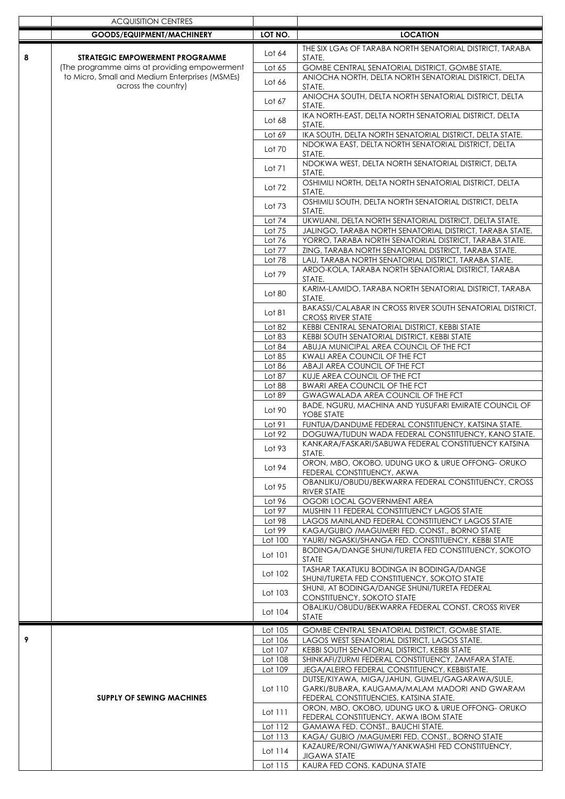|   | <b>ACQUISITION CENTRES</b>                     |                    |                                                                                                             |
|---|------------------------------------------------|--------------------|-------------------------------------------------------------------------------------------------------------|
|   | GOODS/EQUIPMENT/MACHINERY                      | LOT NO.            | <b>LOCATION</b>                                                                                             |
|   |                                                |                    | THE SIX LGAS OF TARABA NORTH SENATORIAL DISTRICT, TARABA                                                    |
| 8 | <b>STRATEGIC EMPOWERMENT PROGRAMME</b>         | Lot 64             | STATE.                                                                                                      |
|   | The programme aims at providing empowerment    | Lot 65             | GOMBE CENTRAL SENATORIAL DISTRICT, GOMBE STATE.                                                             |
|   | to Micro, Small and Medium Enterprises (MSMEs) |                    | ANIOCHA NORTH, DELTA NORTH SENATORIAL DISTRICT, DELTA                                                       |
|   | across the country)                            | Lot 66             | STATE.                                                                                                      |
|   |                                                | Lot 67             | ANIOCHA SOUTH, DELTA NORTH SENATORIAL DISTRICT, DELTA<br>STATE.                                             |
|   |                                                | Lot 68             | IKA NORTH-EAST, DELTA NORTH SENATORIAL DISTRICT, DELTA<br>STATE.                                            |
|   |                                                | Lot 69             | IKA SOUTH, DELTA NORTH SENATORIAL DISTRICT, DELTA STATE.                                                    |
|   |                                                |                    | NDOKWA EAST, DELTA NORTH SENATORIAL DISTRICT, DELTA                                                         |
|   |                                                | Lot 70             | STATE.                                                                                                      |
|   |                                                | Lot 71             | NDOKWA WEST, DELTA NORTH SENATORIAL DISTRICT, DELTA<br>STATE.                                               |
|   |                                                | Lot 72             | OSHIMILI NORTH, DELTA NORTH SENATORIAL DISTRICT, DELTA<br>STATE.                                            |
|   |                                                | Lot $73$           | OSHIMILI SOUTH, DELTA NORTH SENATORIAL DISTRICT, DELTA<br>STATE.                                            |
|   |                                                | Lot 74             | UKWUANI, DELTA NORTH SENATORIAL DISTRICT, DELTA STATE.                                                      |
|   |                                                | Lot 75             | JALINGO, TARABA NORTH SENATORIAL DISTRICT, TARABA STATE.                                                    |
|   |                                                | Lot 76             | YORRO, TARABA NORTH SENATORIAL DISTRICT, TARABA STATE.                                                      |
|   |                                                | Lot 77<br>Lot 78   | ZING, TARABA NORTH SENATORIAL DISTRICT, TARABA STATE.                                                       |
|   |                                                |                    | LAU, TARABA NORTH SENATORIAL DISTRICT, TARABA STATE.<br>ARDO-KOLA, TARABA NORTH SENATORIAL DISTRICT, TARABA |
|   |                                                | Lot 79             | STATE.                                                                                                      |
|   |                                                | Lot 80             | KARIM-LAMIDO, TARABA NORTH SENATORIAL DISTRICT, TARABA<br>STATE.                                            |
|   |                                                | Lot 81             | BAKASSI/CALABAR IN CROSS RIVER SOUTH SENATORIAL DISTRICT,<br><b>CROSS RIVER STATE</b>                       |
|   |                                                | Lot 82             | KEBBI CENTRAL SENATORIAL DISTRICT, KEBBI STATE                                                              |
|   |                                                | Lot 83             | KEBBI SOUTH SENATORIAL DISTRICT, KEBBI STATE                                                                |
|   |                                                | Lot 84             | ABUJA MUNICIPAL AREA COUNCIL OF THE FCT                                                                     |
|   |                                                | Lot 85             | KWALI AREA COUNCIL OF THE FCT                                                                               |
|   |                                                | Lot 86             | ABAJI AREA COUNCIL OF THE FCT                                                                               |
|   |                                                | Lot 87<br>Lot 88   | KUJE AREA COUNCIL OF THE FCT<br><b>BWARI AREA COUNCIL OF THE FCT</b>                                        |
|   |                                                | Lot 89             | GWAGWALADA AREA COUNCIL OF THE FCT                                                                          |
|   |                                                | Lot 90             | BADE, NGURU, MACHINA AND YUSUFARI EMIRATE COUNCIL OF<br>YOBE STATE                                          |
|   |                                                | Lot 91             | FUNTUA/DANDUME FEDERAL CONSTITUENCY, KATSINA STATE.                                                         |
|   |                                                | Lot 92             | DOGUWA/TUDUN WADA FEDERAL CONSTITUENCY, KANO STATE.                                                         |
|   |                                                | Lot 93             | KANKARA/FASKARI/SABUWA FEDERAL CONSTITUENCY KATSINA<br>STATE.                                               |
|   |                                                | Lot 94             | ORON, MBO, OKOBO, UDUNG UKO & URUE OFFONG- ORUKO<br>FEDERAL CONSTITUENCY, AKWA                              |
|   |                                                | Lot 95             | OBANLIKU/OBUDU/BEKWARRA FEDERAL CONSTITUENCY, CROSS<br>RIVER STATE                                          |
|   |                                                | Lot 96             | OGORI LOCAL GOVERNMENT AREA                                                                                 |
|   |                                                | Lot 97             | MUSHIN 11 FEDERAL CONSTITUENCY LAGOS STATE                                                                  |
|   |                                                | Lot 98             | LAGOS MAINLAND FEDERAL CONSTITUENCY LAGOS STATE                                                             |
|   |                                                | Lot 99             | KAGA/GUBIO / MAGUMERI FED. CONST., BORNO STATE                                                              |
|   |                                                | Lot 100            | YAURI/ NGASKI/SHANGA FED. CONSTITUENCY, KEBBI STATE<br>BODINGA/DANGE SHUNI/TURETA FED CONSTITUENCY, SOKOTO  |
|   |                                                | Lot 101            | STATE<br>TASHAR TAKATUKU BODINGA IN BODINGA/DANGE                                                           |
|   |                                                | Lot 102            | SHUNI/TURETA FED CONSTITUENCY, SOKOTO STATE                                                                 |
|   |                                                | Lot 103            | SHUNI, AT BODINGA/DANGE SHUNI/TURETA FEDERAL<br>CONSTITUENCY, SOKOTO STATE                                  |
|   |                                                | Lot 104            | OBALIKU/OBUDU/BEKWARRA FEDERAL CONST. CROSS RIVER<br><b>STATE</b>                                           |
|   |                                                | Lot 105            | GOMBE CENTRAL SENATORIAL DISTRICT, GOMBE STATE.                                                             |
| 9 |                                                | Lot 106            | LAGOS WEST SENATORIAL DISTRICT, LAGOS STATE.                                                                |
|   |                                                | Lot 107<br>Lot 108 | KEBBI SOUTH SENATORIAL DISTRICT, KEBBI STATE<br>SHINKAFI/ZURMI FEDERAL CONSTITUENCY, ZAMFARA STATE.         |
|   |                                                | Lot 109            | JEGA/ALEIRO FEDERAL CONSTITUENCY, KEBBISTATE.                                                               |
|   |                                                |                    | DUTSE/KIYAWA, MIGA/JAHUN, GUMEL/GAGARAWA/SULE,                                                              |
|   |                                                | Lot 110            | GARKI/BUBARA, KAUGAMA/MALAM MADORI AND GWARAM                                                               |
|   | <b>SUPPLY OF SEWING MACHINES</b>               |                    | FEDERAL CONSTITUENCIES, KATSINA STATE.                                                                      |
|   |                                                | Lot 111            | ORON, MBO, OKOBO, UDUNG UKO & URUE OFFONG- ORUKO                                                            |
|   |                                                |                    | FEDERAL CONSTITUENCY, AKWA IBOM STATE                                                                       |
|   |                                                | Lot 112            | GAMAWA FED. CONST., BAUCHI STATE.                                                                           |
|   |                                                | Lot 113            | KAGA/ GUBIO / MAGUMERI FED. CONST., BORNO STATE<br>KAZAURE/RONI/GWIWA/YANKWASHI FED CONSTITUENCY,           |
|   |                                                | Lot 114            | <b>JIGAWA STATE</b>                                                                                         |
|   |                                                | Lot 115            | KAURA FED CONS. KADUNA STATE                                                                                |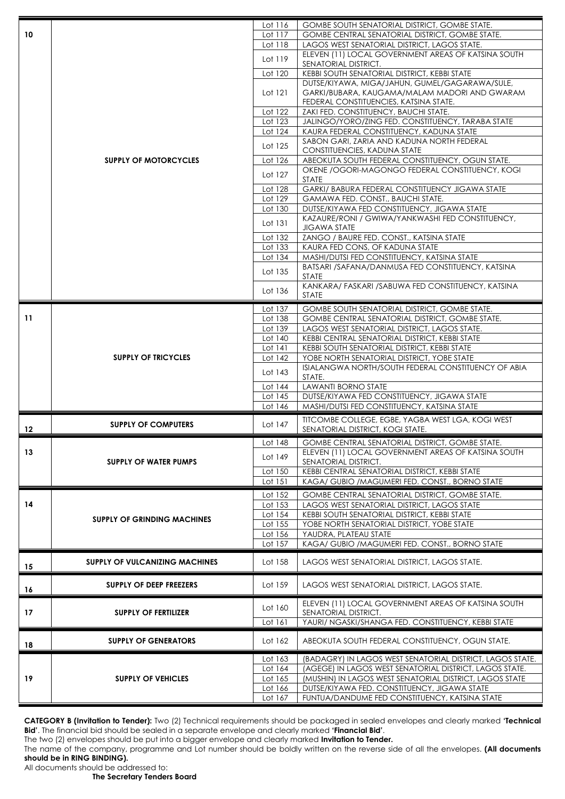|    |                                       | Lot 116            | <b>GOMBE SOUTH SENATORIAL DISTRICT, GOMBE STATE.</b>                                                    |
|----|---------------------------------------|--------------------|---------------------------------------------------------------------------------------------------------|
| 10 |                                       | Lot 117            | <b>GOMBE CENTRAL SENATORIAL DISTRICT, GOMBE STATE.</b>                                                  |
|    |                                       | Lot 118            | LAGOS WEST SENATORIAL DISTRICT, LAGOS STATE.                                                            |
|    |                                       | Lot 119            | ELEVEN (11) LOCAL GOVERNMENT AREAS OF KATSINA SOUTH<br>SENATORIAL DISTRICT.                             |
|    |                                       | Lot 120            | KEBBI SOUTH SENATORIAL DISTRICT, KEBBI STATE                                                            |
|    |                                       |                    | DUTSE/KIYAWA, MIGA/JAHUN, GUMEL/GAGARAWA/SULE,                                                          |
|    |                                       | Lot 121            | GARKI/BUBARA, KAUGAMA/MALAM MADORI AND GWARAM                                                           |
|    |                                       |                    | FEDERAL CONSTITUENCIES, KATSINA STATE.                                                                  |
|    |                                       | Lot 122            | ZAKI FED. CONSTITUENCY, BAUCHI STATE.                                                                   |
|    |                                       | Lot 123<br>Lot 124 | JALINGO/YORO/ZING FED. CONSTITUENCY, TARABA STATE<br>KAURA FEDERAL CONSTITUENCY, KADUNA STATE           |
|    |                                       |                    | SABON GARI, ZARIA AND KADUNA NORTH FEDERAL                                                              |
|    |                                       | Lot 125            | CONSTITUENCIES, KADUNA STATE                                                                            |
|    | <b>SUPPLY OF MOTORCYCLES</b>          | Lot 126            | ABEOKUTA SOUTH FEDERAL CONSTITUENCY, OGUN STATE.                                                        |
|    |                                       | Lot 127            | OKENE / OGORI-MAGONGO FEDERAL CONSTITUENCY, KOGI                                                        |
|    |                                       |                    | <b>STATE</b>                                                                                            |
|    |                                       | Lot 128<br>Lot 129 | <b>GARKI/ BABURA FEDERAL CONSTITUENCY JIGAWA STATE</b><br>GAMAWA FED. CONST., BAUCHI STATE.             |
|    |                                       | Lot 130            | DUTSE/KIYAWA FED CONSTITUENCY, JIGAWA STATE                                                             |
|    |                                       |                    | KAZAURE/RONI / GWIWA/YANKWASHI FED CONSTITUENCY,                                                        |
|    |                                       | Lot 131            | <b>JIGAWA STATE</b>                                                                                     |
|    |                                       | Lot 132            | ZANGO / BAURE FED. CONST., KATSINA STATE                                                                |
|    |                                       | Lot 133            | KAURA FED CONS, OF KADUNA STATE                                                                         |
|    |                                       | Lot 134            | MASHI/DUTSI FED CONSTITUENCY, KATSINA STATE<br>BATSARI /SAFANA/DANMUSA FED CONSTITUENCY, KATSINA        |
|    |                                       | Lot 135            | <b>STATE</b>                                                                                            |
|    |                                       | Lot 136            | KANKARA/ FASKARI / SABUWA FED CONSTITUENCY, KATSINA                                                     |
|    |                                       |                    | <b>STATE</b>                                                                                            |
|    |                                       | Lot 137            | GOMBE SOUTH SENATORIAL DISTRICT, GOMBE STATE.                                                           |
| 11 |                                       | Lot 138            | GOMBE CENTRAL SENATORIAL DISTRICT, GOMBE STATE.                                                         |
|    |                                       | Lot 139            | LAGOS WEST SENATORIAL DISTRICT, LAGOS STATE.                                                            |
|    | <b>SUPPLY OF TRICYCLES</b>            | Lot 140<br>Lot 141 | KEBBI CENTRAL SENATORIAL DISTRICT, KEBBI STATE<br>KEBBI SOUTH SENATORIAL DISTRICT, KEBBI STATE          |
|    |                                       | Lot 142            | YOBE NORTH SENATORIAL DISTRICT, YOBE STATE                                                              |
|    |                                       | Lot 143            | ISIALANGWA NORTH/SOUTH FEDERAL CONSTITUENCY OF ABIA                                                     |
|    |                                       |                    | STATE.                                                                                                  |
|    |                                       | Lot 144<br>Lot 145 | <b>LAWANTI BORNO STATE</b><br>DUTSE/KIYAWA FED CONSTITUENCY, JIGAWA STATE                               |
|    |                                       | Lot 146            | MASHI/DUTSI FED CONSTITUENCY, KATSINA STATE                                                             |
|    |                                       |                    | TITCOMBE COLLEGE, EGBE, YAGBA WEST LGA, KOGI WEST                                                       |
| 12 | <b>SUPPLY OF COMPUTERS</b>            | Lot 147            | SENATORIAL DISTRICT, KOGI STATE.                                                                        |
|    |                                       | Lot 148            | GOMBE CENTRAL SENATORIAL DISTRICT, GOMBE STATE.                                                         |
| 13 |                                       | Lot 149            | ELEVEN (11) LOCAL GOVERNMENT AREAS OF KATSINA SOUTH                                                     |
|    | <b>SUPPLY OF WATER PUMPS</b>          |                    | SENATORIAL DISTRICT.                                                                                    |
|    |                                       | Lot 150<br>Lot 151 | KEBBI CENTRAL SENATORIAL DISTRICT, KEBBI STATE<br>KAGA/ GUBIO / MAGUMERI FED. CONST., BORNO STATE       |
|    |                                       |                    |                                                                                                         |
| 14 |                                       | Lot 152<br>Lot 153 | GOMBE CENTRAL SENATORIAL DISTRICT, GOMBE STATE.<br>LAGOS WEST SENATORIAL DISTRICT, LAGOS STATE          |
|    |                                       | Lot 154            | KEBBI SOUTH SENATORIAL DISTRICT, KEBBI STATE                                                            |
|    | <b>SUPPLY OF GRINDING MACHINES</b>    | Lot 155            | YOBE NORTH SENATORIAL DISTRICT, YOBE STATE                                                              |
|    |                                       | Lot 156            | YAUDRA, PLATEAU STATE                                                                                   |
|    |                                       | Lot 157            | KAGA/ GUBIO / MAGUMERI FED. CONST., BORNO STATE                                                         |
| 15 | <b>SUPPLY OF VULCANIZING MACHINES</b> | Lot 158            | LAGOS WEST SENATORIAL DISTRICT, LAGOS STATE.                                                            |
| 16 | SUPPLY OF DEEP FREEZERS               | Lot 159            | LAGOS WEST SENATORIAL DISTRICT, LAGOS STATE.                                                            |
|    |                                       | Lot 160            | ELEVEN (11) LOCAL GOVERNMENT AREAS OF KATSINA SOUTH                                                     |
| 17 | <b>SUPPLY OF FERTILIZER</b>           |                    | SENATORIAL DISTRICT.                                                                                    |
|    |                                       | Lot 161            | YAURI/ NGASKI/SHANGA FED. CONSTITUENCY, KEBBI STATE                                                     |
| 18 | <b>SUPPLY OF GENERATORS</b>           | Lot 162            | ABEOKUTA SOUTH FEDERAL CONSTITUENCY, OGUN STATE.                                                        |
|    |                                       | Lot 163            | (BADAGRY) IN LAGOS WEST SENATORIAL DISTRICT, LAGOS STATE.                                               |
|    |                                       | Lot 164            | (AGEGE) IN LAGOS WEST SENATORIAL DISTRICT, LAGOS STATE.                                                 |
| 19 | <b>SUPPLY OF VEHICLES</b>             | Lot 165<br>Lot 166 | (MUSHIN) IN LAGOS WEST SENATORIAL DISTRICT, LAGOS STATE<br>DUTSE/KIYAWA FED. CONSTITUENCY, JIGAWA STATE |
|    |                                       | Lot 167            | FUNTUA/DANDUME FED CONSTITUENCY, KATSINA STATE                                                          |
|    |                                       |                    |                                                                                                         |

**CATEGORY B (Invitation to Tender):** Two (2) Technical requirements should be packaged in sealed envelopes and clearly marked **'Technical Bid'**. The financial bid should be sealed in a separate envelope and clearly marked **'Financial Bid'**.

The two (2) envelopes should be put into a bigger envelope and clearly marked **Invitation to Tender.**

The name of the company, programme and Lot number should be boldly written on the reverse side of all the envelopes. **(All documents should be in RING BINDING).**

All documents should be addressed to:

**The Secretary Tenders Board**